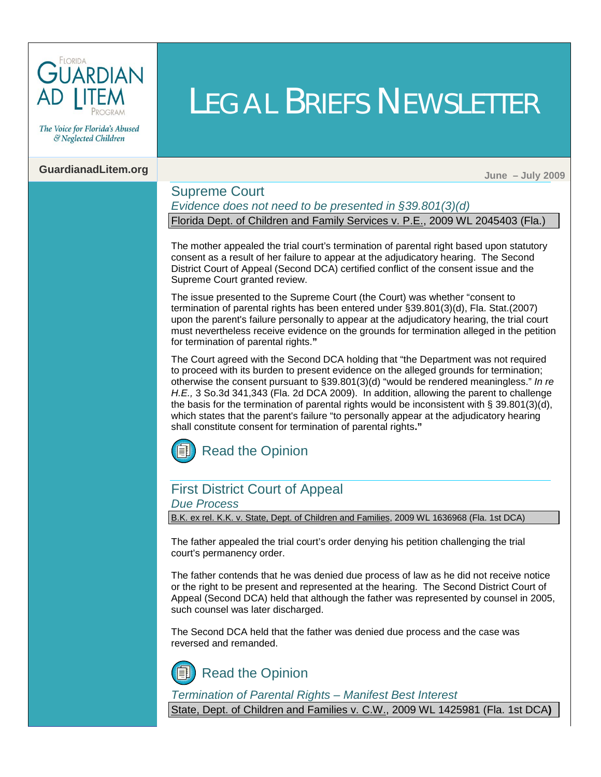

The Voice for Florida's Abused & Neglected Children

# **GuardianadLitem.org June – July 2009**

### Supreme Court

*Evidence does not need to be presented in §39.801(3)(d)* Florida Dept. of Children and Family Services v. P.E., 2009 WL 2045403 (Fla.)

LEGAL BRIEFS NEWSLETTER

The mother appealed the trial court's termination of parental right based upon statutory consent as a result of her failure to appear at the adjudicatory hearing. The Second District Court of Appeal (Second DCA) certified conflict of the consent issue and the Supreme Court granted review.

The issue presented to the Supreme Court (the Court) was whether "consent to termination of parental rights has been entered und[er §39.801\(3\)\(d\), Fla. Stat.\(2007\)](http://www.leg.state.fl.us/Statutes/index.cfm?App_mode=Display_Statute&Search_String=&URL=Ch0039/SEC801.HTM&Title=->2009->Ch0039->Section%20801#0039.801)  upon the parent's failure personally to appear at the adjudicatory hearing, the trial court must nevertheless receive evidence on the grounds for termination alleged in the petition for termination of parental rights.**"** 

The Court agreed with the Second DCA holding that "the Department was not required to proceed with its burden to present evidence on the alleged grounds for termination; otherwise the consent pursuant t[o §39.801\(3\)\(d\) "w](http://www.leg.state.fl.us/Statutes/index.cfm?App_mode=Display_Statute&Search_String=&URL=Ch0039/SEC801.HTM&Title=->2009->Ch0039->Section%20801#0039.801)ould be rendered meaningless." *In re H.E.,* 3 So.3d 341,343 (Fla. 2d DCA 2009). In addition, allowing the parent to challenge the basis for the termination of parental rights would be inconsistent with  $\S 39.801(3)(d)$ , which states that the parent's failure "to personally appear at the adjudicatory hearing shall constitute consent for termination of parental rights**."** 



#### First District Court of Appeal *Due Process*

B.K. ex rel. K.K. v. State, Dept. of Children and Families, 2009 WL 1636968 (Fla. 1st DCA)

The father appealed the trial court's order denying his petition challenging the trial court's permanency order.

The father contends that he was denied due process of law as he did not receive notice or the right to be present and represented at the hearing. The Second District Court of Appeal (Second DCA) held that although the father was represented by counsel in 2005, such counsel was later discharged.

The Second DCA held that the father was denied due process and the case was reversed and remanded.

[Read the Opinion](http://opinions.1dca.org/written/opinions2009/06-12-2009/08-4608.pdf)

*Termination of Parental Rights – Manifest Best Interest*

State, Dept. of Children and Families v. C.W., 2009 WL 1425981 (Fla. 1st DCA**)**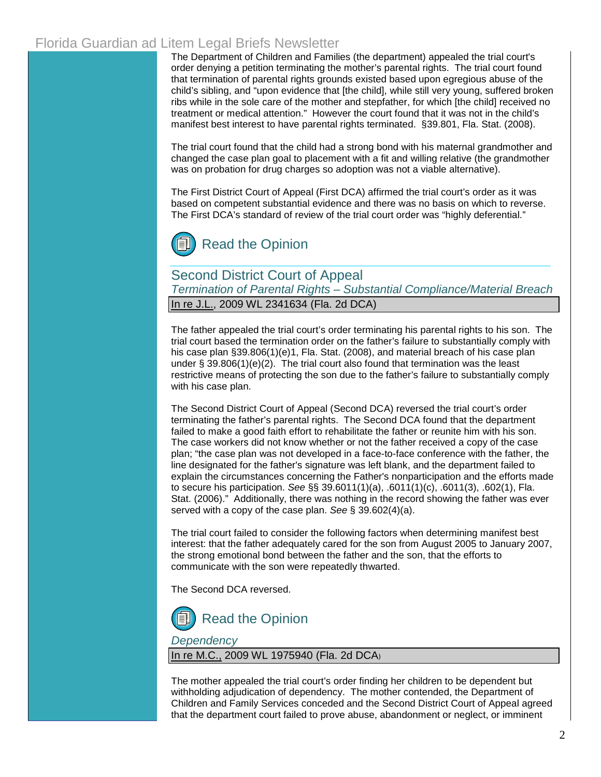# Florida Guardian ad Litem Legal Briefs Newsletter

The Department of Children and Families (the department) appealed the trial court's order denying a petition terminating the mother's parental rights. The trial court found that termination of parental rights grounds existed based upon egregious abuse of the child's sibling, and "upon evidence that [the child], while still very young, suffered broken ribs while in the sole care of the mother and stepfather, for which [the child] received no treatment or medical attention." However the court found that it was not in the child's manifest best interest to have parental rights terminated. [§39.801, Fla. Stat. \(2008\).](http://www.leg.state.fl.us/Statutes/index.cfm?App_mode=Display_Statute&Search_String=&URL=Ch0039/SEC801.HTM&Title=->2008->Ch0039->Section%20801#0039.801) 

The trial court found that the child had a strong bond with his maternal grandmother and changed the case plan goal to placement with a fit and willing relative (the grandmother was on probation for drug charges so adoption was not a viable alternative).

The First District Court of Appeal (First DCA) affirmed the trial court's order as it was based on competent substantial evidence and there was no basis on which to reverse. The First DCA's standard of review of the trial court order was "highly deferential."



Second District Court of Appeal *Termination of Parental Rights – Substantial Compliance/Material Breach* In re J.L., 2009 WL 2341634 (Fla. 2d DCA)

The father appealed the trial court's order terminating his parental rights to his son. The trial court based the termination order on the father's failure to substantially comply with his case plan [§39.806\(1\)\(e\)1, Fla. Stat. \(2008\),](http://www.leg.state.fl.us/Statutes/index.cfm?App_mode=Display_Statute&Search_String=&URL=Ch0039/SEC806.HTM&Title=->2008->Ch0039->Section%20806#0039.806) and material breach of his case plan under  $\S$  39.806(1)(e)(2). The trial court also found that termination was the least restrictive means of protecting the son due to the father's failure to substantially comply with his case plan.

The Second District Court of Appeal (Second DCA) reversed the trial court's order terminating the father's parental rights. The Second DCA found that the department failed to make a good faith effort to rehabilitate the father or reunite him with his son. The case workers did not know whether or not the father received a copy of the case plan; "the case plan was not developed in a face-to-face conference with the father, the line designated for the father's signature was left blank, and the department failed to explain the circumstances concerning the Father's nonparticipation and the efforts made to secure his participation. *See* [§§ 39.6011\(1\)\(a\), .6011\(1\)\(c\), .6011\(3\),](http://www.leg.state.fl.us/Statutes/index.cfm?App_mode=Display_Statute&Search_String=&URL=Ch0039/SEC6011.HTM&Title=->2006->Ch0039->Section%206011#0039.6011) [.602\(1\), Fla.](http://www.leg.state.fl.us/Statutes/index.cfm?App_mode=Display_Statute&Search_String=&URL=Ch0039/SEC602.HTM&Title=->2006->Ch0039->Section%20602#0039.602)  Stat. (2006)." Additionally, there was nothing in the record showing the father was ever served with a copy of the case plan. *See* [§ 39.602\(4\)\(a\).](http://www.leg.state.fl.us/Statutes/index.cfm?App_mode=Display_Statute&Search_String=&URL=Ch0039/SEC602.HTM&Title=->2006->Ch0039->Section%20602#0039.602)

The trial court failed to consider the following factors when determining manifest best interest: that the father adequately cared for the son from August 2005 to January 2007, the strong emotional bond between the father and the son, that the efforts to communicate with the son were repeatedly thwarted.

The Second DCA reversed.



*Dependency*

In re M.C., 2009 WL 1975940 (Fla. 2d DCA)

The mother appealed the trial court's order finding her children to be dependent but withholding adjudication of dependency. The mother contended, the Department of Children and Family Services conceded and the Second District Court of Appeal agreed that the department court failed to prove abuse, abandonment or neglect, or imminent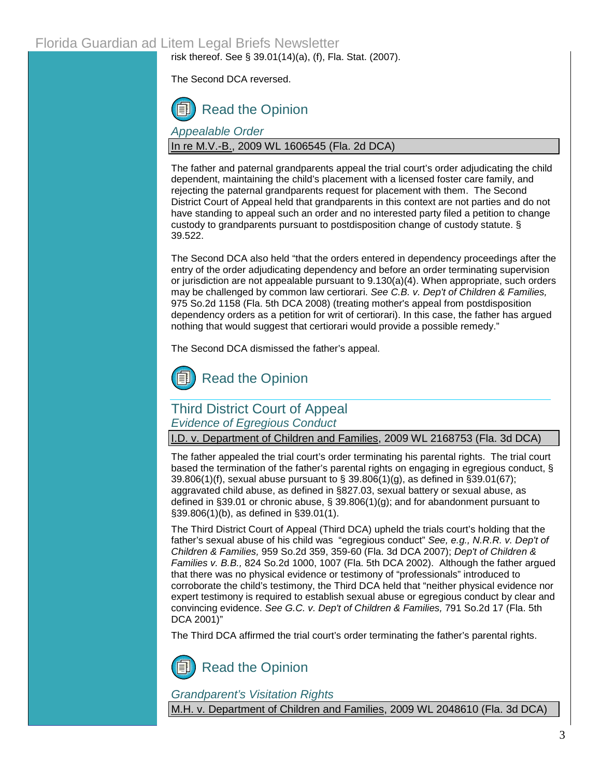risk thereof. See § 39.01(14)(a), (f), Fla. Stat. (2007).

The Second DCA reversed.



*Appealable Order* In re M.V.-B., 2009 WL 1606545 (Fla. 2d DCA)

The father and paternal grandparents appeal the trial court's order adjudicating the child dependent, maintaining the child's placement with a licensed foster care family, and rejecting the paternal grandparents request for placement with them. The Second District Court of Appeal held that grandparents in this context are not parties and do not have standing to appeal such an order and no interested party filed a petition to change custody to grandparents pursuant to postdisposition change of custody statute. [§](http://www.leg.state.fl.us/Statutes/index.cfm?App_mode=Display_Statute&Search_String=&URL=Ch0039/SEC522.HTM&Title=->2009->Ch0039->Section%20522#0039.522)  [39.522.](http://www.leg.state.fl.us/Statutes/index.cfm?App_mode=Display_Statute&Search_String=&URL=Ch0039/SEC522.HTM&Title=->2009->Ch0039->Section%20522#0039.522) 

The Second DCA also held "that the orders entered in dependency proceedings after the entry of the order adjudicating dependency and before an order terminating supervision or jurisdiction are not appealable pursuant to 9.130(a)(4). When appropriate, such orders may be challenged by common law certiorari. *See C.B. v. Dep't of Children & Families,* 975 So.2d 1158 (Fla. 5th DCA 2008) (treating mother's appeal from postdisposition dependency orders as a petition for writ of certiorari). In this case, the father has argued nothing that would suggest that certiorari would provide a possible remedy."

The Second DCA dismissed the father's appeal.



# Third District Court of Appeal *Evidence of Egregious Conduct*

I.D. v. Department of Children and Families, 2009 WL 2168753 (Fla. 3d DCA)

The father appealed the trial court's order terminating his parental rights. The trial court based the termination of the father's parental rights on engaging in egregious conduct, § [39.806\(1\)\(f\),](http://www.leg.state.fl.us/Statutes/index.cfm?App_mode=Display_Statute&Search_String=&URL=Ch0039/SEC806.HTM&Title=->2008->Ch0039->Section%20806#0039.806) sexual abuse pursuant to [§ 39.806\(1\)\(g\),](http://www.leg.state.fl.us/Statutes/index.cfm?App_mode=Display_Statute&Search_String=&URL=Ch0039/SEC806.HTM&Title=->2008->Ch0039->Section%20806#0039.806) as defined in §39.01(67); aggravated child abuse, as defined in §827.03, sexual battery or sexual abuse, as defined in §39.01 or chronic abuse, [§ 39.806\(1\)\(g\)](http://www.leg.state.fl.us/Statutes/index.cfm?App_mode=Display_Statute&Search_String=&URL=Ch0039/SEC806.HTM&Title=->2008->Ch0039->Section%20806#0039.806); and for abandonment pursuant to [§39.806\(1\)\(b\),](http://www.leg.state.fl.us/Statutes/index.cfm?App_mode=Display_Statute&Search_String=&URL=Ch0039/SEC806.HTM&Title=->2008->Ch0039->Section%20806#0039.806) as defined i[n §39.01\(1\).](http://www.leg.state.fl.us/Statutes/index.cfm?App_mode=Display_Statute&Search_String=&URL=Ch0039/SEC01.HTM&Title=->2009->Ch0039->Section%2001#0039.01)

The Third District Court of Appeal (Third DCA) upheld the trials court's holding that the father's sexual abuse of his child was "egregious conduct" *See, e.g., N.R.R. v. Dep't of Children & Families,* 959 So.2d 359, 359-60 (Fla. 3d DCA 2007); *Dep't of Children & Families v. B.B.,* 824 So.2d 1000, 1007 (Fla. 5th DCA 2002). Although the father argued that there was no physical evidence or testimony of "professionals" introduced to corroborate the child's testimony, the Third DCA held that "neither physical evidence nor expert testimony is required to establish sexual abuse or egregious conduct by clear and convincing evidence. *See G.C. v. Dep't of Children & Families,* 791 So.2d 17 (Fla. 5th DCA 2001)"

The Third DCA affirmed the trial court's order terminating the father's parental rights.



### *Grandparent's Visitation Rights*

M.H. v. Department of Children and Families, 2009 WL 2048610 (Fla. 3d DCA)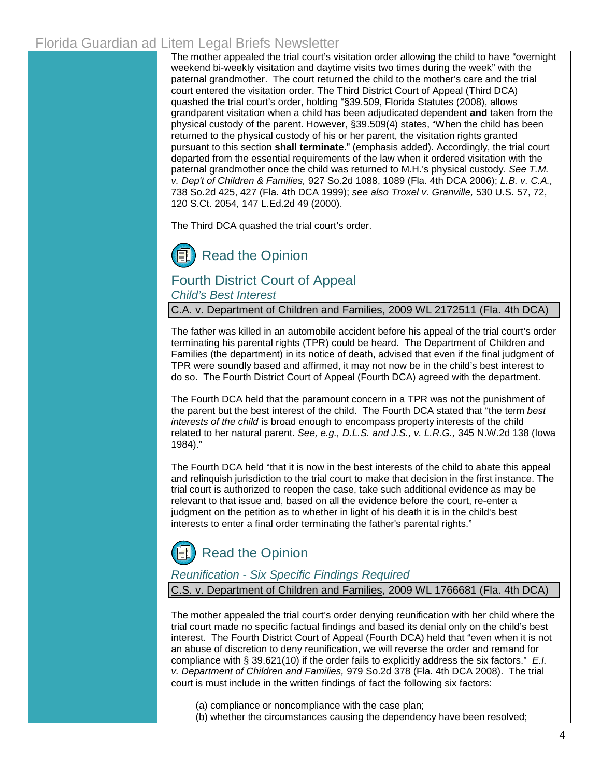# Florida Guardian ad Litem Legal Briefs Newsletter

The mother appealed the trial court's visitation order allowing the child to have "overnight weekend bi-weekly visitation and daytime visits two times during the week" with the paternal grandmother. The court returned the child to the mother's care and the trial court entered the visitation order. The Third District Court of Appeal (Third DCA) quashed the trial court's order, holding ["§39.509, Florida Statutes \(2008\),](http://www.leg.state.fl.us/Statutes/index.cfm?App_mode=Display_Statute&Search_String=&URL=Ch0039/SEC509.HTM&Title=->2008->Ch0039->Section%20509#0039.509) allows grandparent visitation when a child has been adjudicated dependent **and** taken from the physical custody of the parent. Howeve[r, §39.509\(4\)](http://www.leg.state.fl.us/Statutes/index.cfm?App_mode=Display_Statute&Search_String=&URL=Ch0039/SEC509.HTM&Title=->2008->Ch0039->Section%20509#0039.509) states, "When the child has been returned to the physical custody of his or her parent, the visitation rights granted pursuant to this section **shall terminate.**" (emphasis added). Accordingly, the trial court departed from the essential requirements of the law when it ordered visitation with the paternal grandmother once the child was returned to M.H.'s physical custody. *See T.M. v. Dep't of Children & Families,* 927 So.2d 1088, 1089 (Fla. 4th DCA 2006); *L.B. v. C.A.,* 738 So.2d 425, 427 (Fla. 4th DCA 1999); *see also Troxel v. Granville,* 530 U.S. 57, 72, 120 S.Ct. 2054, 147 L.Ed.2d 49 (2000).

The Third DCA quashed the trial court's order.

[Read the Opinion](http://www.3dca.flcourts.org/Opinions/3D09-1829.pdf)

# Fourth District Court of Appeal *Child's Best Interest*

C.A. v. Department of Children and Families, 2009 WL 2172511 (Fla. 4th DCA)

The father was killed in an automobile accident before his appeal of the trial court's order terminating his parental rights (TPR) could be heard. The Department of Children and Families (the department) in its notice of death, advised that even if the final judgment of TPR were soundly based and affirmed, it may not now be in the child's best interest to do so. The Fourth District Court of Appeal (Fourth DCA) agreed with the department.

The Fourth DCA held that the paramount concern in a TPR was not the punishment of the parent but the best interest of the child. The Fourth DCA stated that "the term *best interests of the child* is broad enough to encompass property interests of the child related to her natural parent. *See, e.g., D.L.S. and J.S., v. L.R.G.,* 345 N.W.2d 138 (Iowa 1984)."

The Fourth DCA held "that it is now in the best interests of the child to abate this appeal and relinquish jurisdiction to the trial court to make that decision in the first instance. The trial court is authorized to reopen the case, take such additional evidence as may be relevant to that issue and, based on all the evidence before the court, re-enter a judgment on the petition as to whether in light of his death it is in the child's best interests to enter a final order terminating the father's parental rights."

# [Read the Opinion](http://www.4dca.org/opinions/July2009/07-22-09/4D08-3394%20Corrected%20op.pdf)

### *Reunification - Six Specific Findings Required*

C.S. v. Department of Children and Families, 2009 WL 1766681 (Fla. 4th DCA)

The mother appealed the trial court's order denying reunification with her child where the trial court made no specific factual findings and based its denial only on the child's best interest. The Fourth District Court of Appeal (Fourth DCA) held that "even when it is not an abuse of discretion to deny reunification, we will reverse the order and remand for compliance with § [39.621\(10\) i](http://www.leg.state.fl.us/Statutes/index.cfm?App_mode=Display_Statute&Search_String=&URL=Ch0039/SEC621.HTM&Title=->2009->Ch0039->Section%20621#0039.621)f the order fails to explicitly address the six factors." *E.I. v. Department of Children and Families,* 979 So.2d 378 (Fla. 4th DCA 2008). The trial court is must include in the written findings of fact the following six factors:

(a) compliance or noncompliance with the case plan; (b) whether the circumstances causing the dependency have been resolved;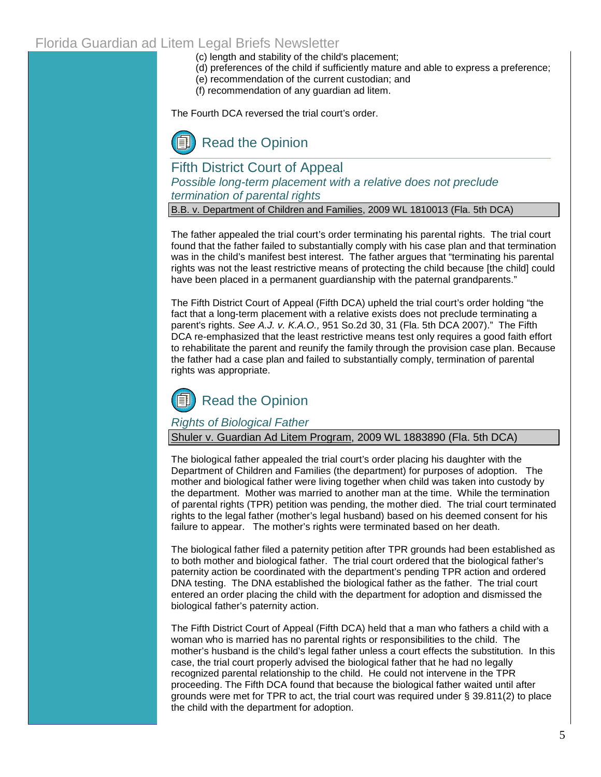# Florida Guardian ad Litem Legal Briefs Newsletter

(c) length and stability of the child's placement;

- (d) preferences of the child if sufficiently mature and able to express a preference;
- (e) recommendation of the current custodian; and
- (f) recommendation of any guardian ad litem.

The Fourth DCA reversed the trial court's order.

[Read the Opinion](http://www.4dca.org/opinions/June%202009/06-24-09/4D08-3950.op.pdf)

Fifth District Court of Appeal *Possible long-term placement with a relative does not preclude termination of parental rights*

B.B. v. Department of Children and Families, 2009 WL 1810013 (Fla. 5th DCA)

The father appealed the trial court's order terminating his parental rights. The trial court found that the father failed to substantially comply with his case plan and that termination was in the child's manifest best interest. The father argues that "terminating his parental rights was not the least restrictive means of protecting the child because [the child] could have been placed in a permanent guardianship with the paternal grandparents."

The Fifth District Court of Appeal (Fifth DCA) upheld the trial court's order holding "the fact that a long-term placement with a relative exists does not preclude terminating a parent's rights. *See A.J. v. K.A.O.,* 951 So.2d 30, 31 (Fla. 5th DCA 2007)." The Fifth DCA re-emphasized that the least restrictive means test only requires a good faith effort to rehabilitate the parent and reunify the family through the provision case plan. Because the father had a case plan and failed to substantially comply, termination of parental rights was appropriate.



### *Rights of Biological Father*

Shuler v. Guardian Ad Litem Program, 2009 WL 1883890 (Fla. 5th DCA)

The biological father appealed the trial court's order placing his daughter with the Department of Children and Families (the department) for purposes of adoption. The mother and biological father were living together when child was taken into custody by the department. Mother was married to another man at the time. While the termination of parental rights (TPR) petition was pending, the mother died. The trial court terminated rights to the legal father (mother's legal husband) based on his deemed consent for his failure to appear. The mother's rights were terminated based on her death.

The biological father filed a paternity petition after TPR grounds had been established as to both mother and biological father. The trial court ordered that the biological father's paternity action be coordinated with the department's pending TPR action and ordered DNA testing. The DNA established the biological father as the father. The trial court entered an order placing the child with the department for adoption and dismissed the biological father's paternity action.

The Fifth District Court of Appeal (Fifth DCA) held that a man who fathers a child with a woman who is married has no parental rights or responsibilities to the child. The mother's husband is the child's legal father unless a court effects the substitution. In this case, the trial court properly advised the biological father that he had no legally recognized parental relationship to the child. He could not intervene in the TPR proceeding. The Fifth DCA found that because the biological father waited until after grounds were met for TPR to act, the trial court was required unde[r § 39.811\(2\) t](http://www.leg.state.fl.us/Statutes/index.cfm?App_mode=Display_Statute&Search_String=&URL=Ch0039/SEC811.HTM&Title=->2009->Ch0039->Section%20811#0039.811)o place the child with the department for adoption.